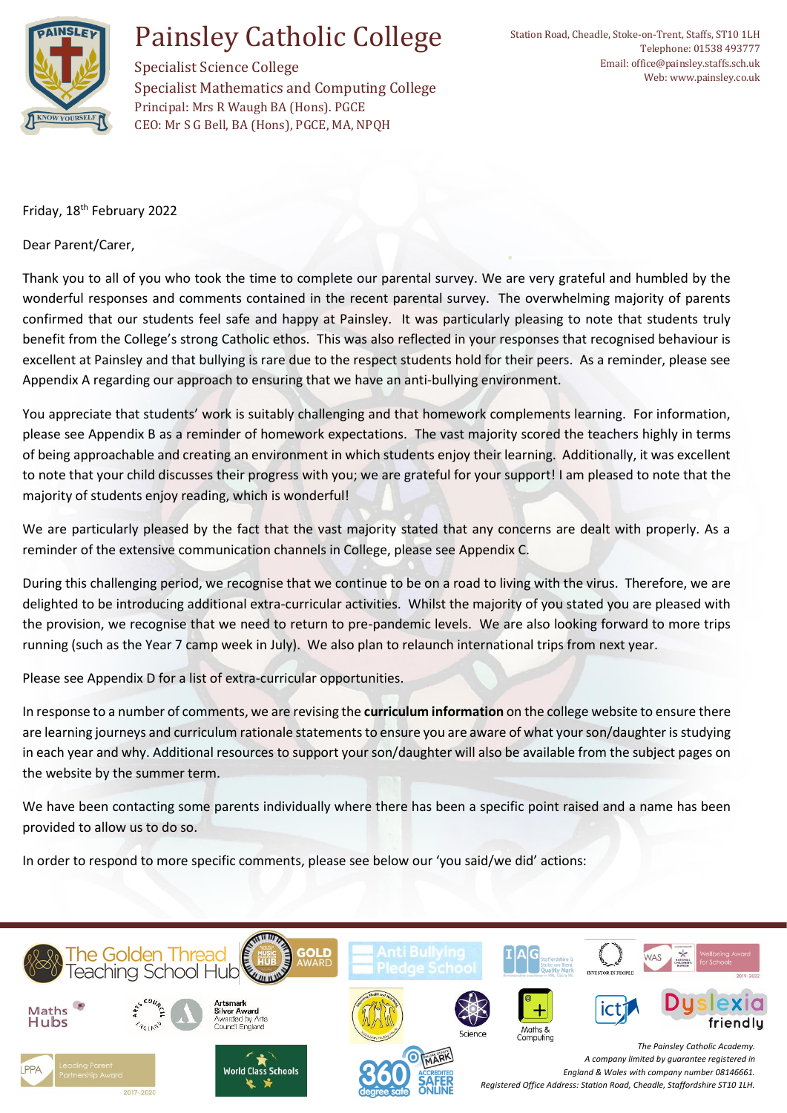

Specialist Science College Specialist Mathematics and Computing College Principal: Mrs R Waugh BA (Hons). PGCE CEO: Mr S G Bell, BA (Hons), PGCE, MA, NPQH

Friday, 18th February 2022

Dear Parent/Carer,

Thank you to all of you who took the time to complete our parental survey. We are very grateful and humbled by the wonderful responses and comments contained in the recent parental survey. The overwhelming majority of parents confirmed that our students feel safe and happy at Painsley. It was particularly pleasing to note that students truly benefit from the College's strong Catholic ethos. This was also reflected in your responses that recognised behaviour is excellent at Painsley and that bullying is rare due to the respect students hold for their peers. As a reminder, please see Appendix A regarding our approach to ensuring that we have an anti-bullying environment.

You appreciate that students' work is suitably challenging and that homework complements learning. For information, please see Appendix B as a reminder of homework expectations. The vast majority scored the teachers highly in terms of being approachable and creating an environment in which students enjoy their learning. Additionally, it was excellent to note that your child discusses their progress with you; we are grateful for your support! I am pleased to note that the majority of students enjoy reading, which is wonderful!

We are particularly pleased by the fact that the vast majority stated that any concerns are dealt with properly. As a reminder of the extensive communication channels in College, please see Appendix C.

During this challenging period, we recognise that we continue to be on a road to living with the virus. Therefore, we are delighted to be introducing additional extra-curricular activities. Whilst the majority of you stated you are pleased with the provision, we recognise that we need to return to pre-pandemic levels. We are also looking forward to more trips running (such as the Year 7 camp week in July). We also plan to relaunch international trips from next year.

Please see Appendix D for a list of extra-curricular opportunities.

In response to a number of comments, we are revising the **curriculum information** on the college website to ensure there are learning journeys and curriculum rationale statements to ensure you are aware of what your son/daughter is studying in each year and why. Additional resources to support your son/daughter will also be available from the subject pages on the website by the summer term.

We have been contacting some parents individually where there has been a specific point raised and a name has been provided to allow us to do so.

In order to respond to more specific comments, please see below our 'you said/we did' actions:

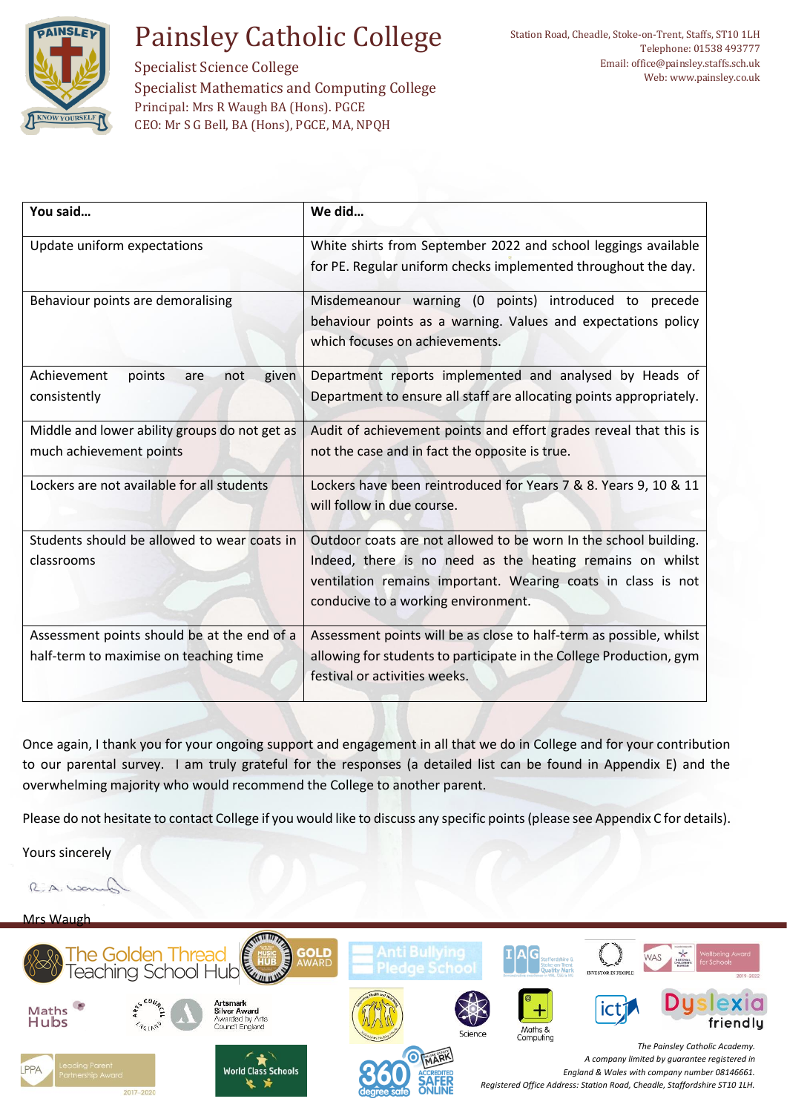

Specialist Science College Specialist Mathematics and Computing College Principal: Mrs R Waugh BA (Hons). PGCE CEO: Mr S G Bell, BA (Hons), PGCE, MA, NPQH

| You said                                                                              | We did                                                                                                                                                                                                                               |  |
|---------------------------------------------------------------------------------------|--------------------------------------------------------------------------------------------------------------------------------------------------------------------------------------------------------------------------------------|--|
| Update uniform expectations                                                           | White shirts from September 2022 and school leggings available<br>for PE. Regular uniform checks implemented throughout the day.                                                                                                     |  |
| Behaviour points are demoralising                                                     | Misdemeanour warning (0 points) introduced to precede<br>behaviour points as a warning. Values and expectations policy<br>which focuses on achievements.                                                                             |  |
| Achievement<br>points<br>not<br>given<br>are<br>consistently                          | Department reports implemented and analysed by Heads of<br>Department to ensure all staff are allocating points appropriately.                                                                                                       |  |
| Middle and lower ability groups do not get as<br>much achievement points              | Audit of achievement points and effort grades reveal that this is<br>not the case and in fact the opposite is true.                                                                                                                  |  |
| Lockers are not available for all students                                            | Lockers have been reintroduced for Years 7 & 8. Years 9, 10 & 11<br>will follow in due course.                                                                                                                                       |  |
| Students should be allowed to wear coats in<br>classrooms                             | Outdoor coats are not allowed to be worn In the school building.<br>Indeed, there is no need as the heating remains on whilst<br>ventilation remains important. Wearing coats in class is not<br>conducive to a working environment. |  |
| Assessment points should be at the end of a<br>half-term to maximise on teaching time | Assessment points will be as close to half-term as possible, whilst<br>allowing for students to participate in the College Production, gym<br>festival or activities weeks.                                                          |  |

Once again, I thank you for your ongoing support and engagement in all that we do in College and for your contribution to our parental survey. I am truly grateful for the responses (a detailed list can be found in Appendix E) and the overwhelming majority who would recommend the College to another parent.

Please do not hesitate to contact College if you would like to discuss any specific points (please see Appendix C for details).

Yours sincerely

R.A.WO

### Mrs Waugh

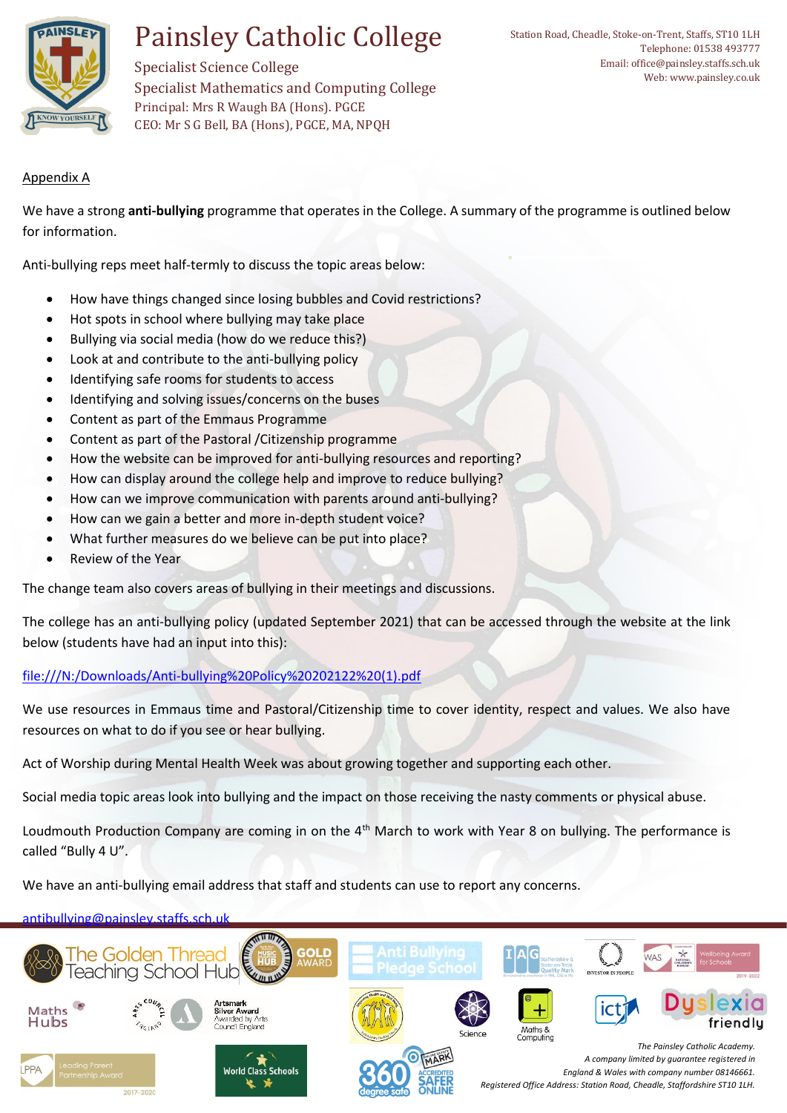

Specialist Science College Specialist Mathematics and Computing College Principal: Mrs R Waugh BA (Hons). PGCE CEO: Mr S G Bell, BA (Hons), PGCE, MA, NPQH

### Appendix A

We have a strong **anti-bullying** programme that operates in the College. A summary of the programme is outlined below for information.

Anti-bullying reps meet half-termly to discuss the topic areas below:

- How have things changed since losing bubbles and Covid restrictions?
- Hot spots in school where bullying may take place
- Bullying via social media (how do we reduce this?)
- Look at and contribute to the anti-bullying policy
- Identifying safe rooms for students to access
- Identifying and solving issues/concerns on the buses
- Content as part of the Emmaus Programme
- Content as part of the Pastoral /Citizenship programme
- How the website can be improved for anti-bullying resources and reporting?
- How can display around the college help and improve to reduce bullying?
- How can we improve communication with parents around anti-bullying?
- How can we gain a better and more in-depth student voice?
- What further measures do we believe can be put into place?
- Review of the Year

The change team also covers areas of bullying in their meetings and discussions.

The college has an anti-bullying policy (updated September 2021) that can be accessed through the website at the link below (students have had an input into this):

[file:///N:/Downloads/Anti-bullying%20Policy%20202122%20\(1\).pdf](file://///PAI-FS-02/UserHome$/LAS/Downloads/Anti-bullying%20Policy%20202122%20(1).pdf)

We use resources in Emmaus time and Pastoral/Citizenship time to cover identity, respect and values. We also have resources on what to do if you see or hear bullying.

Act of Worship during Mental Health Week was about growing together and supporting each other.

Social media topic areas look into bullying and the impact on those receiving the nasty comments or physical abuse.

Loudmouth Production Company are coming in on the 4<sup>th</sup> March to work with Year 8 on bullying. The performance is called "Bully 4 U".

We have an anti-bullying email address that staff and students can use to report any concerns.

### [antibullying@painsley.staffs.sch.uk](mailto:antibullying@painsley.staffs.sch.uk)

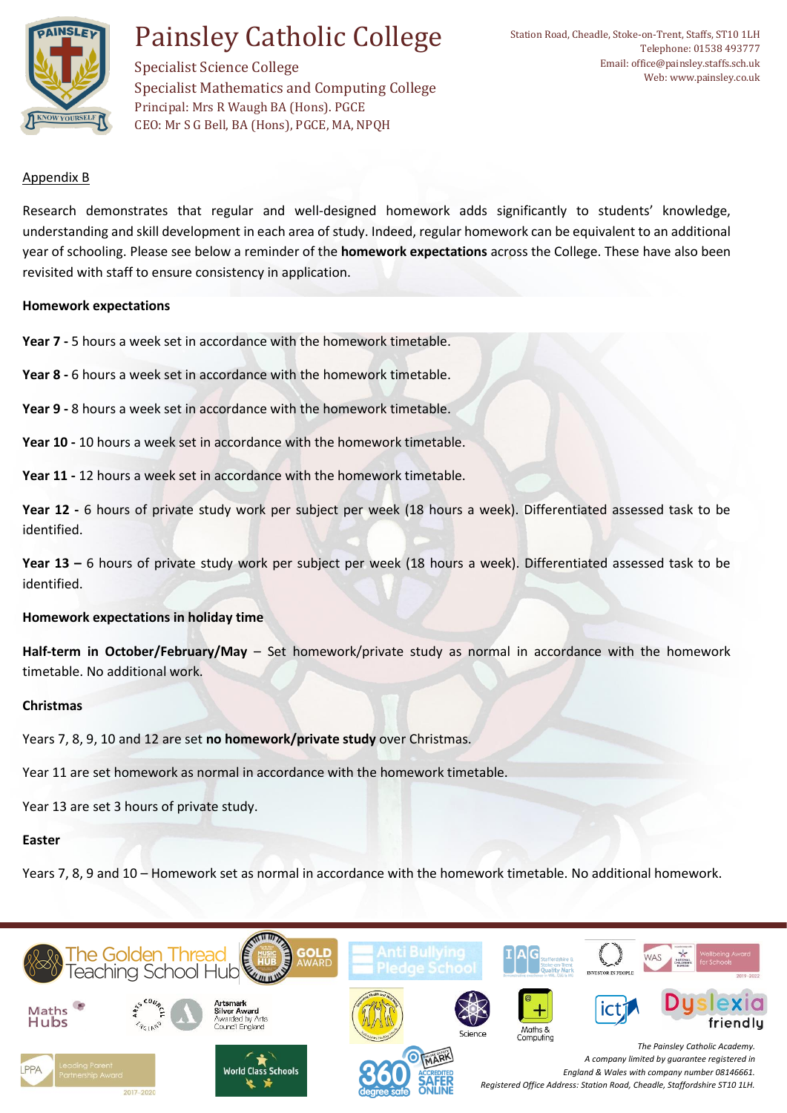

Specialist Science College Specialist Mathematics and Computing College Principal: Mrs R Waugh BA (Hons). PGCE CEO: Mr S G Bell, BA (Hons), PGCE, MA, NPQH

#### Appendix B

Research demonstrates that regular and well-designed homework adds significantly to students' knowledge, understanding and skill development in each area of study. Indeed, regular homework can be equivalent to an additional year of schooling. Please see below a reminder of the **homework expectations** across the College. These have also been revisited with staff to ensure consistency in application.

#### **Homework expectations**

**Year 7 -** 5 hours a week set in accordance with the homework timetable.

**Year 8 -** 6 hours a week set in accordance with the homework timetable.

**Year 9 -** 8 hours a week set in accordance with the homework timetable.

**Year 10 -** 10 hours a week set in accordance with the homework timetable.

**Year 11 -** 12 hours a week set in accordance with the homework timetable.

**Year 12 -** 6 hours of private study work per subject per week (18 hours a week). Differentiated assessed task to be identified.

**Year 13 –** 6 hours of private study work per subject per week (18 hours a week). Differentiated assessed task to be identified.

#### **Homework expectations in holiday time**

**Half-term in October/February/May** – Set homework/private study as normal in accordance with the homework timetable. No additional work.

#### **Christmas**

Years 7, 8, 9, 10 and 12 are set **no homework/private study** over Christmas.

Year 11 are set homework as normal in accordance with the homework timetable.

Year 13 are set 3 hours of private study.

#### **Easter**

Years 7, 8, 9 and 10 – Homework set as normal in accordance with the homework timetable. No additional homework.

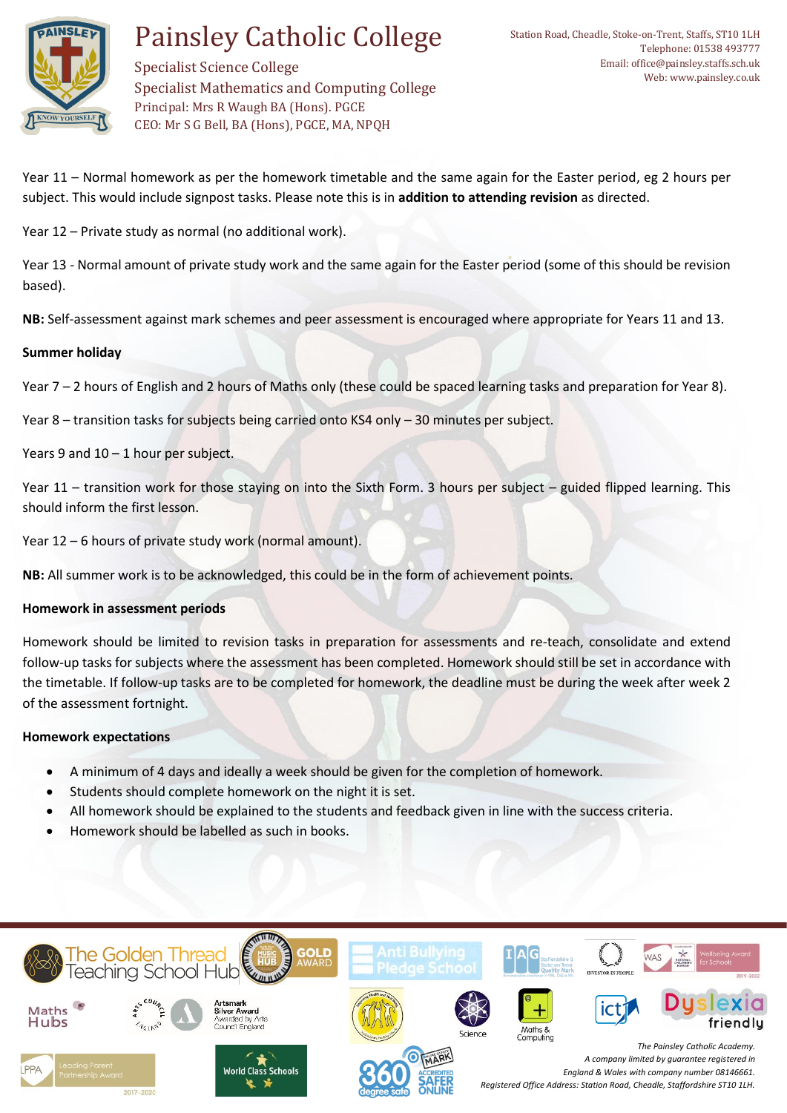

Specialist Science College Specialist Mathematics and Computing College Principal: Mrs R Waugh BA (Hons). PGCE CEO: Mr S G Bell, BA (Hons), PGCE, MA, NPQH

Year 11 – Normal homework as per the homework timetable and the same again for the Easter period, eg 2 hours per subject. This would include signpost tasks. Please note this is in **addition to attending revision** as directed.

Year 12 – Private study as normal (no additional work).

Year 13 - Normal amount of private study work and the same again for the Easter period (some of this should be revision based).

**NB:** Self-assessment against mark schemes and peer assessment is encouraged where appropriate for Years 11 and 13.

### **Summer holiday**

Year 7 – 2 hours of English and 2 hours of Maths only (these could be spaced learning tasks and preparation for Year 8).

Year 8 – transition tasks for subjects being carried onto KS4 only – 30 minutes per subject.

Years 9 and 10 - 1 hour per subject.

Year 11 – transition work for those staying on into the Sixth Form. 3 hours per subject – guided flipped learning. This should inform the first lesson.

Year 12 – 6 hours of private study work (normal amount).

**NB:** All summer work is to be acknowledged, this could be in the form of achievement points.

### **Homework in assessment periods**

Homework should be limited to revision tasks in preparation for assessments and re-teach, consolidate and extend follow-up tasks for subjects where the assessment has been completed. Homework should still be set in accordance with the timetable. If follow-up tasks are to be completed for homework, the deadline must be during the week after week 2 of the assessment fortnight.

### **Homework expectations**

- A minimum of 4 days and ideally a week should be given for the completion of homework.
- Students should complete homework on the night it is set.
- All homework should be explained to the students and feedback given in line with the success criteria.
- Homework should be labelled as such in books.

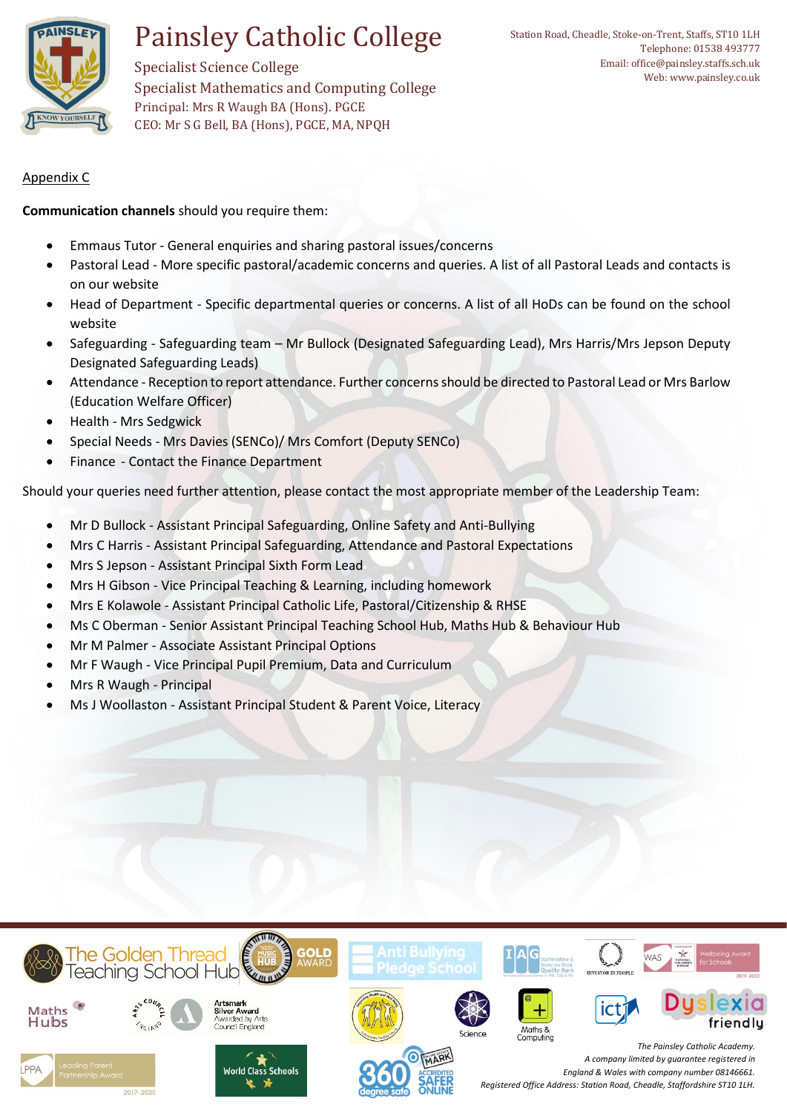

Specialist Science College Specialist Mathematics and Computing College Principal: Mrs R Waugh BA (Hons). PGCE CEO: Mr S G Bell, BA (Hons), PGCE, MA, NPQH

Appendix C

**Communication channels** should you require them:

- Emmaus Tutor General enquiries and sharing pastoral issues/concerns
- Pastoral Lead More specific pastoral/academic concerns and queries. A list of all Pastoral Leads and contacts is on our website
- Head of Department Specific departmental queries or concerns. A list of all HoDs can be found on the school website
- Safeguarding Safeguarding team Mr Bullock (Designated Safeguarding Lead), Mrs Harris/Mrs Jepson Deputy Designated Safeguarding Leads)
- Attendance Reception to report attendance. Further concerns should be directed to Pastoral Lead or Mrs Barlow (Education Welfare Officer)
- Health Mrs Sedgwick
- Special Needs Mrs Davies (SENCo)/ Mrs Comfort (Deputy SENCo)
- Finance Contact the Finance Department

Should your queries need further attention, please contact the most appropriate member of the Leadership Team:

- Mr D Bullock Assistant Principal Safeguarding, Online Safety and Anti-Bullying
- Mrs C Harris Assistant Principal Safeguarding, Attendance and Pastoral Expectations
- Mrs S Jepson Assistant Principal Sixth Form Lead
- Mrs H Gibson Vice Principal Teaching & Learning, including homework
- Mrs E Kolawole Assistant Principal Catholic Life, Pastoral/Citizenship & RHSE
- Ms C Oberman Senior Assistant Principal Teaching School Hub, Maths Hub & Behaviour Hub
- Mr M Palmer Associate Assistant Principal Options
- Mr F Waugh Vice Principal Pupil Premium, Data and Curriculum
- Mrs R Waugh Principal
- Ms J Woollaston Assistant Principal Student & Parent Voice, Literacy

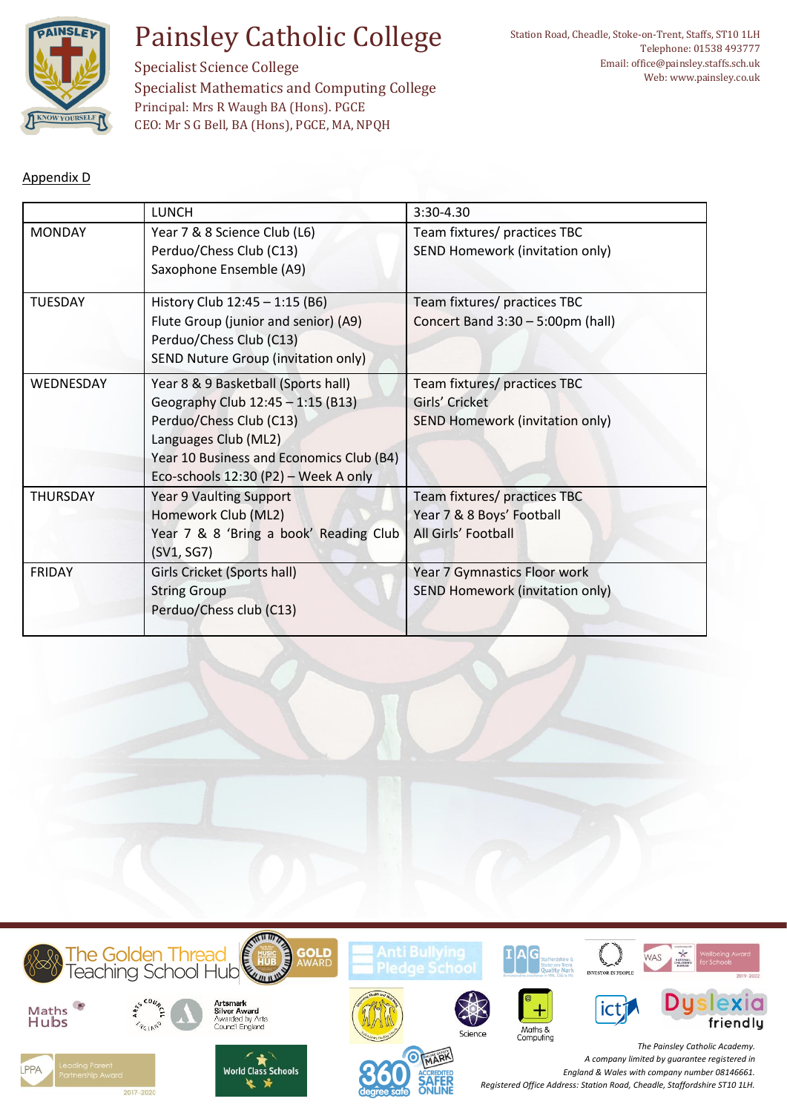

Specialist Science College Specialist Mathematics and Computing College Principal: Mrs R Waugh BA (Hons). PGCE CEO: Mr S G Bell, BA (Hons), PGCE, MA, NPQH

### Appendix D

|                 | <b>LUNCH</b>                                                                                                                                                                                                    | 3:30-4.30                                                                                |
|-----------------|-----------------------------------------------------------------------------------------------------------------------------------------------------------------------------------------------------------------|------------------------------------------------------------------------------------------|
| <b>MONDAY</b>   | Year 7 & 8 Science Club (L6)<br>Perduo/Chess Club (C13)<br>Saxophone Ensemble (A9)                                                                                                                              | Team fixtures/ practices TBC<br>SEND Homework (invitation only)                          |
| <b>TUESDAY</b>  | History Club 12:45 - 1:15 (B6)<br>Flute Group (junior and senior) (A9)<br>Perduo/Chess Club (C13)<br><b>SEND Nuture Group (invitation only)</b>                                                                 | Team fixtures/ practices TBC<br>Concert Band 3:30 - 5:00pm (hall)                        |
| WEDNESDAY       | Year 8 & 9 Basketball (Sports hall)<br>Geography Club 12:45 - 1:15 (B13)<br>Perduo/Chess Club (C13)<br>Languages Club (ML2)<br>Year 10 Business and Economics Club (B4)<br>Eco-schools 12:30 (P2) - Week A only | Team fixtures/ practices TBC<br>Girls' Cricket<br><b>SEND Homework (invitation only)</b> |
| <b>THURSDAY</b> | <b>Year 9 Vaulting Support</b><br>Homework Club (ML2)<br>Year 7 & 8 'Bring a book' Reading Club<br>(SV1, SG7)                                                                                                   | Team fixtures/ practices TBC<br>Year 7 & 8 Boys' Football<br>All Girls' Football         |
| <b>FRIDAY</b>   | Girls Cricket (Sports hall)<br><b>String Group</b><br>Perduo/Chess club (C13)                                                                                                                                   | Year 7 Gymnastics Floor work<br>SEND Homework (invitation only)                          |

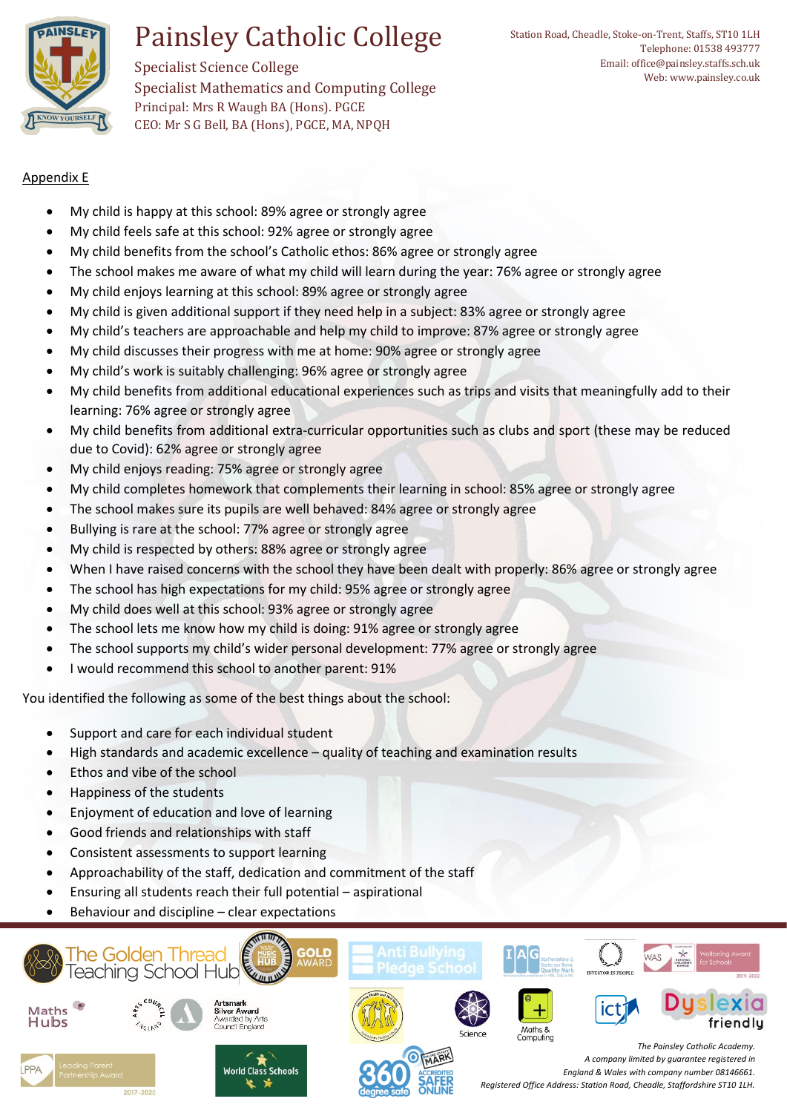

Specialist Science College Specialist Mathematics and Computing College Principal: Mrs R Waugh BA (Hons). PGCE CEO: Mr S G Bell, BA (Hons), PGCE, MA, NPQH

### Appendix E

- My child is happy at this school: 89% agree or strongly agree
- My child feels safe at this school: 92% agree or strongly agree
- My child benefits from the school's Catholic ethos: 86% agree or strongly agree
- The school makes me aware of what my child will learn during the year: 76% agree or strongly agree
- My child enjoys learning at this school: 89% agree or strongly agree
- My child is given additional support if they need help in a subject: 83% agree or strongly agree
- My child's teachers are approachable and help my child to improve: 87% agree or strongly agree
- My child discusses their progress with me at home: 90% agree or strongly agree
- My child's work is suitably challenging: 96% agree or strongly agree
- My child benefits from additional educational experiences such as trips and visits that meaningfully add to their learning: 76% agree or strongly agree
- My child benefits from additional extra-curricular opportunities such as clubs and sport (these may be reduced due to Covid): 62% agree or strongly agree
- My child enjoys reading: 75% agree or strongly agree
- My child completes homework that complements their learning in school: 85% agree or strongly agree
- The school makes sure its pupils are well behaved: 84% agree or strongly agree
- Bullying is rare at the school: 77% agree or strongly agree
- My child is respected by others: 88% agree or strongly agree
- When I have raised concerns with the school they have been dealt with properly: 86% agree or strongly agree
- The school has high expectations for my child: 95% agree or strongly agree
- My child does well at this school: 93% agree or strongly agree
- The school lets me know how my child is doing: 91% agree or strongly agree
- The school supports my child's wider personal development: 77% agree or strongly agree
- I would recommend this school to another parent: 91%

You identified the following as some of the best things about the school:

- Support and care for each individual student
- High standards and academic excellence quality of teaching and examination results
- Ethos and vibe of the school
- Happiness of the students
- Enjoyment of education and love of learning
- Good friends and relationships with staff
- Consistent assessments to support learning
- Approachability of the staff, dedication and commitment of the staff
- Ensuring all students reach their full potential aspirational
- Behaviour and discipline clear expectations